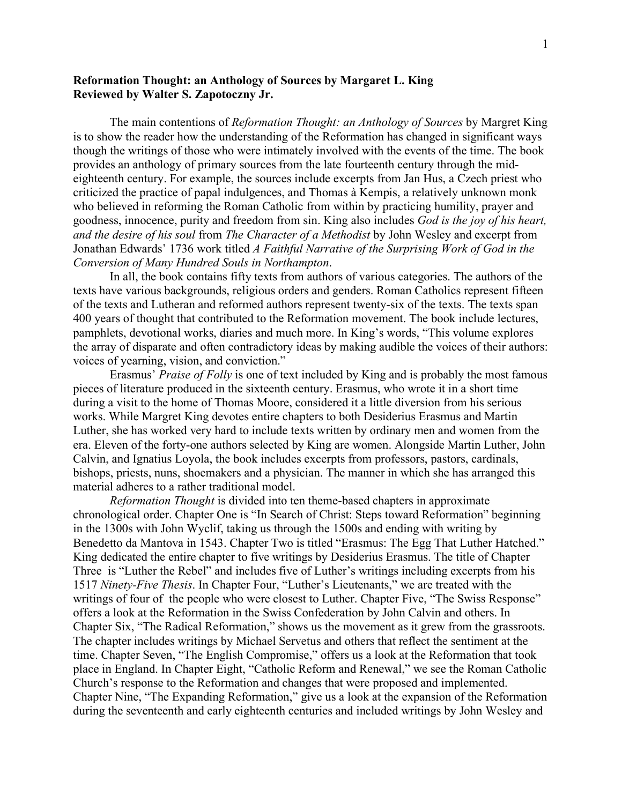## **Reformation Thought: an Anthology of Sources by Margaret L. King Reviewed by Walter S. Zapotoczny Jr.**

The main contentions of *Reformation Thought: an Anthology of Sources* by Margret King is to show the reader how the understanding of the Reformation has changed in significant ways though the writings of those who were intimately involved with the events of the time. The book provides an anthology of primary sources from the late fourteenth century through the mideighteenth century. For example, the sources include excerpts from Jan Hus, a Czech priest who criticized the practice of papal indulgences, and Thomas à Kempis, a relatively unknown monk who believed in reforming the Roman Catholic from within by practicing humility, prayer and goodness, innocence, purity and freedom from sin. King also includes *God is the joy of his heart, and the desire of his soul* from *The Character of a Methodist* by John Wesley and excerpt from Jonathan Edwards' 1736 work titled *A Faithful Narrative of the Surprising Work of God in the Conversion of Many Hundred Souls in Northampton*.

In all, the book contains fifty texts from authors of various categories. The authors of the texts have various backgrounds, religious orders and genders. Roman Catholics represent fifteen of the texts and Lutheran and reformed authors represent twenty-six of the texts. The texts span 400 years of thought that contributed to the Reformation movement. The book include lectures, pamphlets, devotional works, diaries and much more. In King's words, "This volume explores the array of disparate and often contradictory ideas by making audible the voices of their authors: voices of yearning, vision, and conviction."

Erasmus' *Praise of Folly* is one of text included by King and is probably the most famous pieces of literature produced in the sixteenth century. Erasmus, who wrote it in a short time during a visit to the home of Thomas Moore, considered it a little diversion from his serious works. While Margret King devotes entire chapters to both Desiderius Erasmus and Martin Luther, she has worked very hard to include texts written by ordinary men and women from the era. Eleven of the forty-one authors selected by King are women. Alongside Martin Luther, John Calvin, and Ignatius Loyola, the book includes excerpts from professors, pastors, cardinals, bishops, priests, nuns, shoemakers and a physician. The manner in which she has arranged this material adheres to a rather traditional model.

*Reformation Thought* is divided into ten theme-based chapters in approximate chronological order. Chapter One is "In Search of Christ: Steps toward Reformation" beginning in the 1300s with John Wyclif, taking us through the 1500s and ending with writing by Benedetto da Mantova in 1543. Chapter Two is titled "Erasmus: The Egg That Luther Hatched." King dedicated the entire chapter to five writings by Desiderius Erasmus. The title of Chapter Three is "Luther the Rebel" and includes five of Luther's writings including excerpts from his 1517 *Ninety-Five Thesis*. In Chapter Four, "Luther's Lieutenants," we are treated with the writings of four of the people who were closest to Luther. Chapter Five, "The Swiss Response" offers a look at the Reformation in the Swiss Confederation by John Calvin and others. In Chapter Six, "The Radical Reformation," shows us the movement as it grew from the grassroots. The chapter includes writings by Michael Servetus and others that reflect the sentiment at the time. Chapter Seven, "The English Compromise," offers us a look at the Reformation that took place in England. In Chapter Eight, "Catholic Reform and Renewal," we see the Roman Catholic Church's response to the Reformation and changes that were proposed and implemented. Chapter Nine, "The Expanding Reformation," give us a look at the expansion of the Reformation during the seventeenth and early eighteenth centuries and included writings by John Wesley and